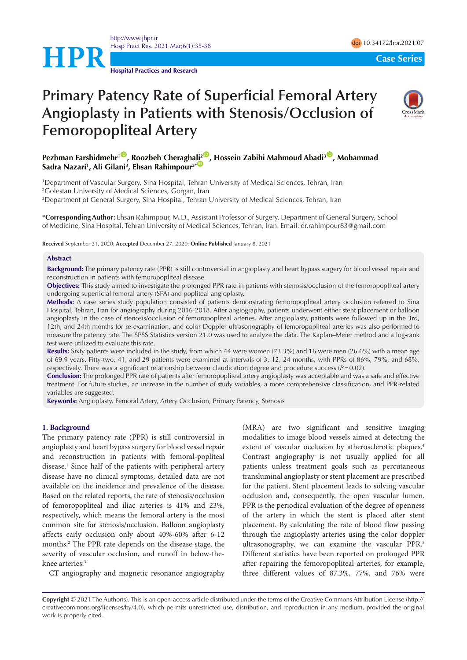

**Hospital Practices and Research**

# **Primary Patency Rate of Superficial Femoral Artery Angioplasty in Patients with Stenosis/Occlusion of Femoropopliteal Artery**



# **Pezhman Farshidmehr<sup>10</sup>, Roozbeh Cheragh[ali](http://orcid.org/0000-0002-9790-6495)<sup>20</sup>, Hossein Zabihi Mahmoud Abadi<sup>30</sup>, Mohammad** Sadra Nazari<sup>1</sup>, Ali Gilani<sup>3</sup>, Ehsan Rahimpour<sup>3\* ©</sup>

1 Department of Vascular Surgery, Sina Hospital, Tehran University of Medical Sciences, Tehran, Iran 2 Golestan University of Medical Sciences, Gorgan, Iran 3 Department of General Surgery, Sina Hospital, Tehran University of Medical Sciences, Tehran, Iran

**\*Corresponding Author:** Ehsan Rahimpour, M.D., Assistant Professor of Surgery, Department of General Surgery, School of Medicine, Sina Hospital, Tehran University of Medical Sciences, Tehran, Iran. Email: dr.rahimpour83@gmail.com

**Received** September 21, 2020; **Accepted** December 27, 2020; **Online Published** January 8, 2021

#### **Abstract**

**Background:** The primary patency rate (PPR) is still controversial in angioplasty and heart bypass surgery for blood vessel repair and reconstruction in patients with femoropopliteal disease.

**Objectives:** This study aimed to investigate the prolonged PPR rate in patients with stenosis/occlusion of the femoropopliteal artery undergoing superficial femoral artery (SFA) and popliteal angioplasty.

**Methods:** A case series study population consisted of patients demonstrating femoropopliteal artery occlusion referred to Sina Hospital, Tehran, Iran for angiography during 2016-2018. After angiography, patients underwent either stent placement or balloon angioplasty in the case of stenosis/occlusion of femoropopliteal arteries. After angioplasty, patients were followed up in the 3rd, 12th, and 24th months for re-examination, and color Doppler ultrasonography of femoropopliteal arteries was also performed to measure the patency rate. The SPSS Statistics version 21.0 was used to analyze the data. The Kaplan–Meier method and a log-rank test were utilized to evaluate this rate.

**Results:** Sixty patients were included in the study, from which 44 were women (73.3%) and 16 were men (26.6%) with a mean age of 69.9 years. Fifty-two, 41, and 29 patients were examined at intervals of 3, 12, 24 months, with PPRs of 86%, 79%, and 68%, respectively. There was a significant relationship between claudication degree and procedure success (*P*=0.02).

**Conclusion:** The prolonged PPR rate of patients after femoropopliteal artery angioplasty was acceptable and was a safe and effective treatment. For future studies, an increase in the number of study variables, a more comprehensive classification, and PPR-related variables are suggested.

**Keywords:** Angioplasty, Femoral Artery, Artery Occlusion, Primary Patency, Stenosis

#### **1. Background**

The primary patency rate (PPR) is still controversial in angioplasty and heart bypass surgery for blood vessel repair and reconstruction in patients with femoral-popliteal disease.1 Since half of the patients with peripheral artery disease have no clinical symptoms, detailed data are not available on the incidence and prevalence of the disease. Based on the related reports, the rate of stenosis/occlusion of femoropopliteal and iliac arteries is 41% and 23%, respectively, which means the femoral artery is the most common site for stenosis/occlusion. Balloon angioplasty affects early occlusion only about 40%-60% after 6-12 months.2 The PPR rate depends on the disease stage, the severity of vascular occlusion, and runoff in below-theknee arteries.3

CT angiography and magnetic resonance angiography

(MRA) are two significant and sensitive imaging modalities to image blood vessels aimed at detecting the extent of vascular occlusion by atherosclerotic plaques.<sup>4</sup> Contrast angiography is not usually applied for all patients unless treatment goals such as percutaneous transluminal angioplasty or stent placement are prescribed for the patient. Stent placement leads to solving vascular occlusion and, consequently, the open vascular lumen. PPR is the periodical evaluation of the degree of openness of the artery in which the stent is placed after stent placement. By calculating the rate of blood flow passing through the angioplasty arteries using the color doppler ultrasonography, we can examine the vascular PPR.<sup>5</sup> Different statistics have been reported on prolonged PPR after repairing the femoropopliteal arteries; for example, three different values of 87.3%, 77%, and 76% were

**Copyright** © 2021 The Author(s). This is an open-access article distributed under the terms of the Creative Commons Attribution License (http:// creativecommons.org/licenses/by/4.0), which permits unrestricted use, distribution, and reproduction in any medium, provided the original work is properly cited.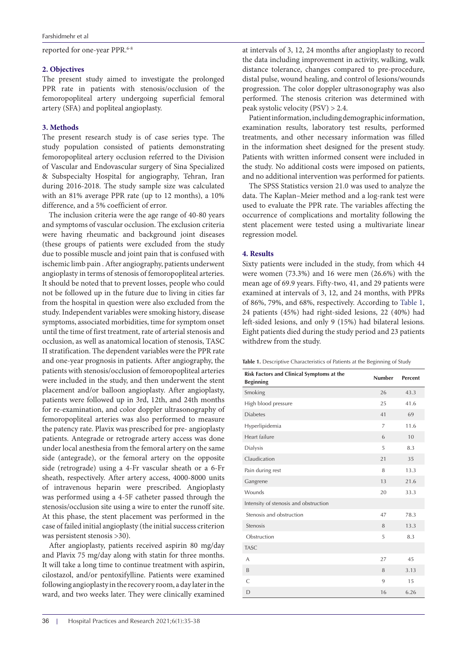reported for one-year PPR.<sup>6-8</sup>

#### **2. Objectives**

The present study aimed to investigate the prolonged PPR rate in patients with stenosis/occlusion of the femoropopliteal artery undergoing superficial femoral artery (SFA) and popliteal angioplasty.

### **3. Methods**

The present research study is of case series type. The study population consisted of patients demonstrating femoropopliteal artery occlusion referred to the Division of Vascular and Endovascular surgery of Sina Specialized & Subspecialty Hospital for angiography, Tehran, Iran during 2016-2018. The study sample size was calculated with an 81% average PPR rate (up to 12 months), a 10% difference, and a 5% coefficient of error.

The inclusion criteria were the age range of 40-80 years and symptoms of vascular occlusion. The exclusion criteria were having rheumatic and background joint diseases (these groups of patients were excluded from the study due to possible muscle and joint pain that is confused with ischemic limb pain . After angiography, patients underwent angioplasty in terms of stenosis of femoropopliteal arteries. It should be noted that to prevent losses, people who could not be followed up in the future due to living in cities far from the hospital in question were also excluded from the study. Independent variables were smoking history, disease symptoms, associated morbidities, time for symptom onset until the time of first treatment, rate of arterial stenosis and occlusion, as well as anatomical location of stenosis, TASC II stratification. The dependent variables were the PPR rate and one-year prognosis in patients. After angiography, the patients with stenosis/occlusion of femoropopliteal arteries were included in the study, and then underwent the stent placement and/or balloon angioplasty. After angioplasty, patients were followed up in 3rd, 12th, and 24th months for re-examination, and color doppler ultrasonography of femoropopliteal arteries was also performed to measure the patency rate. Plavix was prescribed for pre- angioplasty patients. Antegrade or retrograde artery access was done under local anesthesia from the femoral artery on the same side (antegrade), or the femoral artery on the opposite side (retrograde) using a 4-Fr vascular sheath or a 6-Fr sheath, respectively. After artery access, 4000-8000 units of intravenous heparin were prescribed. Angioplasty was performed using a 4-5F catheter passed through the stenosis/occlusion site using a wire to enter the runoff site. At this phase, the stent placement was performed in the case of failed initial angioplasty (the initial success criterion was persistent stenosis >30).

After angioplasty, patients received aspirin 80 mg/day and Plavix 75 mg/day along with statin for three months. It will take a long time to continue treatment with aspirin, cilostazol, and/or pentoxifylline. Patients were examined following angioplasty in the recovery room, a day later in the ward, and two weeks later. They were clinically examined at intervals of 3, 12, 24 months after angioplasty to record the data including improvement in activity, walking, walk distance tolerance, changes compared to pre-procedure, distal pulse, wound healing, and control of lesions/wounds progression. The color doppler ultrasonography was also performed. The stenosis criterion was determined with peak systolic velocity (PSV) > 2.4.

Patient information, including demographic information, examination results, laboratory test results, performed treatments, and other necessary information was filled in the information sheet designed for the present study. Patients with written informed consent were included in the study. No additional costs were imposed on patients, and no additional intervention was performed for patients.

The SPSS Statistics version 21.0 was used to analyze the data. The Kaplan–Meier method and a log-rank test were used to evaluate the PPR rate. The variables affecting the occurrence of complications and mortality following the stent placement were tested using a multivariate linear regression model.

# **4. Results**

Sixty patients were included in the study, from which 44 were women (73.3%) and 16 were men (26.6%) with the mean age of 69.9 years. Fifty-two, 41, and 29 patients were examined at intervals of 3, 12, and 24 months, with PPRs of 86%, 79%, and 68%, respectively. According to [Table 1](#page-1-0), 24 patients (45%) had right-sided lesions, 22 (40%) had left-sided lesions, and only 9 (15%) had bilateral lesions. Eight patients died during the study period and 23 patients withdrew from the study.

<span id="page-1-0"></span>**Table 1.** Descriptive Characteristics of Patients at the Beginning of Study

| Risk Factors and Clinical Symptoms at the<br><b>Beginning</b> | <b>Number</b>  | Percent |
|---------------------------------------------------------------|----------------|---------|
| Smoking                                                       | 26             | 43.3    |
| High blood pressure                                           | 25             | 41.6    |
| <b>Diabetes</b>                                               | 41             | 69      |
| Hyperlipidemia                                                | $\overline{7}$ | 11.6    |
| Heart failure                                                 | 6              | 10      |
| Dialysis                                                      | 5              | 8.3     |
| Claudication                                                  | 21             | 35      |
| Pain during rest                                              | 8              | 13.3    |
| Gangrene                                                      | 13             | 21.6    |
| Wounds                                                        | 20             | 33.3    |
| Intensity of stenosis and obstruction                         |                |         |
| Stenosis and obstruction                                      | 47             | 78.3    |
| Stenosis                                                      | 8              | 13.3    |
| Obstruction                                                   | 5              | 8.3     |
| <b>TASC</b>                                                   |                |         |
| A                                                             | 27             | 45      |
| B                                                             | 8              | 3.13    |
| $\subset$                                                     | 9              | 15      |
| D                                                             | 16             | 6.26    |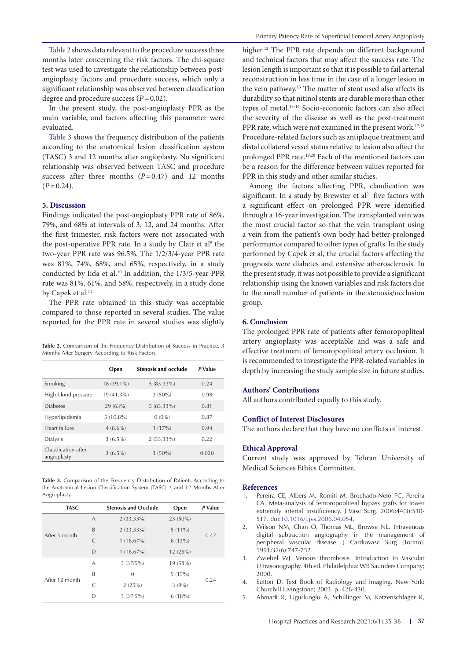[Table 2](#page-2-0) shows data relevant to the procedure success three months later concerning the risk factors. The chi-square test was used to investigate the relationship between postangioplasty factors and procedure success, which only a significant relationship was observed between claudication degree and procedure success (*P*=0.02).

In the present study, the post-angioplasty PPR as the main variable, and factors affecting this parameter were evaluated.

[Table 3](#page-2-1) shows the frequency distribution of the patients according to the anatomical lesion classification system (TASC) 3 and 12 months after angioplasty. No significant relationship was observed between TASC and procedure success after three months  $(P=0.47)$  and 12 months  $(P=0.24)$ .

#### **5. Discussion**

Findings indicated the post-angioplasty PPR rate of 86%, 79%, and 68% at intervals of 3, 12, and 24 months. After the first trimester, risk factors were not associated with the post-operative PPR rate. In a study by Clair et al<sup>9</sup> the two-year PPR rate was 96.5%. The 1/2/3/4-year PPR rate was 81%, 74%, 68%, and 65%, respectively, in a study conducted by Iida et al.<sup>10</sup> In addition, the 1/3/5-year PPR rate was 81%, 61%, and 58%, respectively, in a study done by Capek et al.<sup>11</sup>

The PPR rate obtained in this study was acceptable compared to those reported in several studies. The value reported for the PPR rate in several studies was slightly

<span id="page-2-0"></span>**Table 2.** Comparison of the Frequency Distribution of Success in Practice, 3 Months After Surgery According to Risk Factors

|                                   | Open        | <b>Stenosis and occlude</b> | P Value |
|-----------------------------------|-------------|-----------------------------|---------|
| Smoking                           | 18 (39.1%)  | $5(83.33\%)$                | 0.24    |
| High blood pressure               | 19 (41.3%)  | $3(50\%)$                   | 0.98    |
| <b>Diabetes</b>                   | 29 (63%)    | $5(83.33\%)$                | 0.81    |
| Hyperlipidemia                    | $5(10.8\%)$ | $0(0\%)$                    | 0.87    |
| Heart failure                     | $4(8.6\%)$  | 1(17%)                      | 0.94    |
| Dialysis                          | $3(6.5\%)$  | $2(33.33\%)$                | 0.22    |
| Claudication after<br>angioplasty | $3(6.5\%)$  | $3(50\%)$                   | 0.020   |

<span id="page-2-1"></span>**Table 3.** Comparison of the Frequency Distribution of Patients According to the Anatomical Lesion Classification System (TASC) 3 and 12 Months After Angioplasty

| <b>TASC</b>    |           | <b>Stenosis and Occlude</b> | Open       | P Value |
|----------------|-----------|-----------------------------|------------|---------|
| After 3 month  | A         | $2(33.33\%)$                | $23(50\%)$ | 0.47    |
|                | B         | $2(33.33\%)$                | $5(11\%)$  |         |
|                | C         | $1(16.67\%)$                | 6(13%)     |         |
|                | D         | $1(16.67\%)$                | 12(26%)    |         |
| After 12 month | A         | 3(37/5%)                    | 19 (58%)   |         |
|                | B         | $\Omega$                    | 5(15%)     | 0.24    |
|                | $\subset$ | 2(25%)                      | 3(9%)      |         |
|                | D         | $3(37.5\%)$                 | 6(18%)     |         |

higher.<sup>12</sup> The PPR rate depends on different background and technical factors that may affect the success rate. The lesion length is important so that it is possible to fail arterial reconstruction in less time in the case of a longer lesion in the vein pathway.<sup>13</sup> The matter of stent used also affects its durability so that nitinol stents are durable more than other types of metal.14-16 Socio-economic factors can also affect the severity of the disease as well as the post-treatment PPR rate, which were not examined in the present work.<sup>17,18</sup> Procedure-related factors such as antiplaque treatment and distal collateral vessel status relative to lesion also affect the prolonged PPR rate.19,20 Each of the mentioned factors can be a reason for the difference between values reported for PPR in this study and other similar studies.

Among the factors affecting PPR, claudication was significant. In a study by Brewster et al $21$  five factors with a significant effect on prolonged PPR were identified through a 16-year investigation. The transplanted vein was the most crucial factor so that the vein transplant using a vein from the patient's own body had better-prolonged performance compared to other types of grafts. In the study performed by Capek et al, the crucial factors affecting the prognosis were diabetes and extensive atherosclerosis. In the present study, it was not possible to provide a significant relationship using the known variables and risk factors due to the small number of patients in the stenosis/occlusion group.

## **6. Conclusion**

The prolonged PPR rate of patients after femoropopliteal artery angioplasty was acceptable and was a safe and effective treatment of femoropopliteal artery occlusion. It is recommended to investigate the PPR-related variables in depth by increasing the study sample size in future studies.

### **Authors' Contributions**

All authors contributed equally to this study.

### **Conflict of Interest Disclosures**

The authors declare that they have no conflicts of interest.

#### **Ethical Approval**

Current study was approved by Tehran University of Medical Sciences Ethics Committee.

#### **References**

- 1. Pereira CE, Albers M, Romiti M, Brochado-Neto FC, Pereira CA. Meta-analysis of femoropopliteal bypass grafts for lower extremity arterial insufficiency. J Vasc Surg. 2006;44(3):510-517. doi[:10.1016/j.jvs.2006.04.054.](https://doi.org/10.1016/j.jvs.2006.04.054)
- 2. Wilson NM, Chan O, Thomas ML, Browse NL. Intravenous digital subtraction angiography in the management of peripheral vascular disease. J Cardiovasc Surg (Torino). 1991;32(6):747-752.
- 3. Zwiebel WJ. Venous thrombosis. Introduction to Vascular Ultrasonography. 4th ed. Philadelphia: WB Saunders Company; 2000.
- 4. Sutton D. Text Book of Radiology and Imaging. New York: Churchill Livingstone; 2003. p. 428-430.
- 5. Ahmadi R, Ugurluoglu A, Schillinger M, Katzenschlager R,